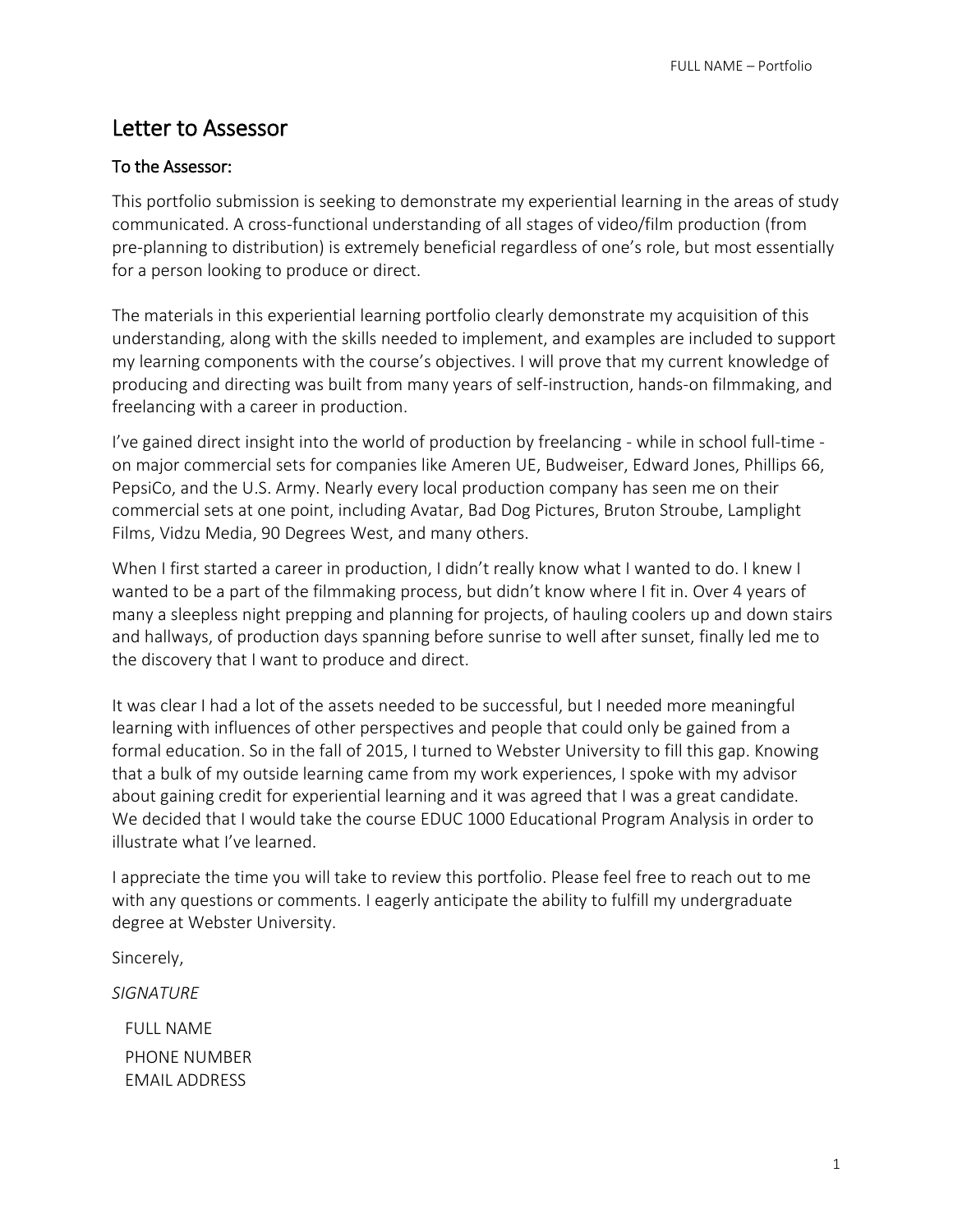## Letter to Assessor

### To the Assessor:

This portfolio submission is seeking to demonstrate my experiential learning in the areas of study communicated. A cross-functional understanding of all stages of video/film production (from pre-planning to distribution) is extremely beneficial regardless of one's role, but most essentially for a person looking to produce or direct.

The materials in this experiential learning portfolio clearly demonstrate my acquisition of this understanding, along with the skills needed to implement, and examples are included to support my learning components with the course's objectives. I will prove that my current knowledge of producing and directing was built from many years of self-instruction, hands-on filmmaking, and freelancing with a career in production.

I've gained direct insight into the world of production by freelancing - while in school full-time on major commercial sets for companies like Ameren UE, Budweiser, Edward Jones, Phillips 66, PepsiCo, and the U.S. Army. Nearly every local production company has seen me on their commercial sets at one point, including Avatar, Bad Dog Pictures, Bruton Stroube, Lamplight Films, Vidzu Media, 90 Degrees West, and many others.

When I first started a career in production, I didn't really know what I wanted to do. I knew I wanted to be a part of the filmmaking process, but didn't know where I fit in. Over 4 years of many a sleepless night prepping and planning for projects, of hauling coolers up and down stairs and hallways, of production days spanning before sunrise to well after sunset, finally led me to the discovery that I want to produce and direct.

It was clear I had a lot of the assets needed to be successful, but I needed more meaningful learning with influences of other perspectives and people that could only be gained from a formal education. So in the fall of 2015, I turned to Webster University to fill this gap. Knowing that a bulk of my outside learning came from my work experiences, I spoke with my advisor about gaining credit for experiential learning and it was agreed that I was a great candidate. We decided that I would take the course EDUC 1000 Educational Program Analysis in order to illustrate what I've learned.

I appreciate the time you will take to review this portfolio. Please feel free to reach out to me with any questions or comments. I eagerly anticipate the ability to fulfill my undergraduate degree at Webster University.

Sincerely,

*SIGNATURE*

 FULL NAME PHONE NUMBER EMAIL ADDRESS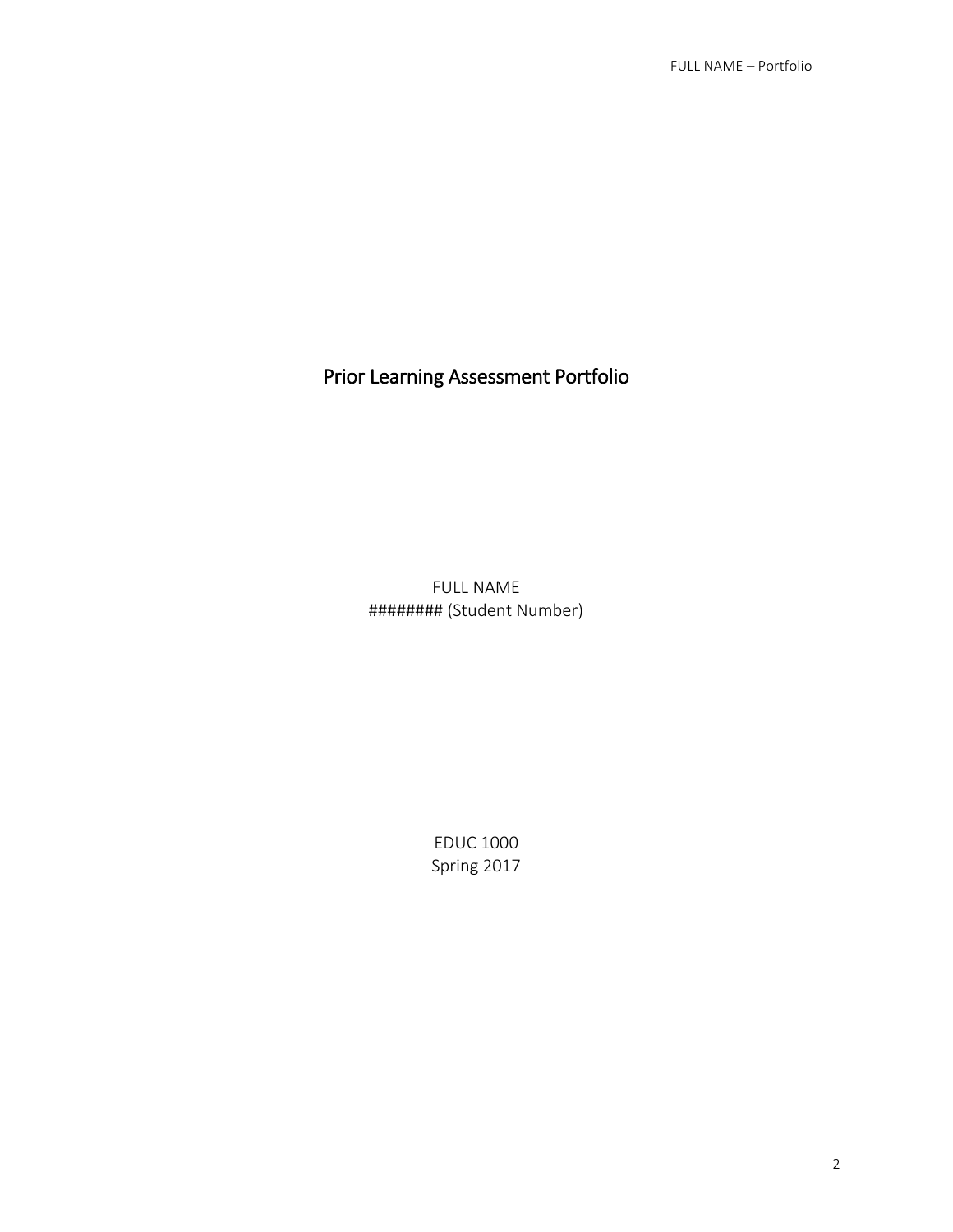# Prior Learning Assessment Portfolio

FULL NAME ######## (Student Number)

> EDUC 1000 Spring 2017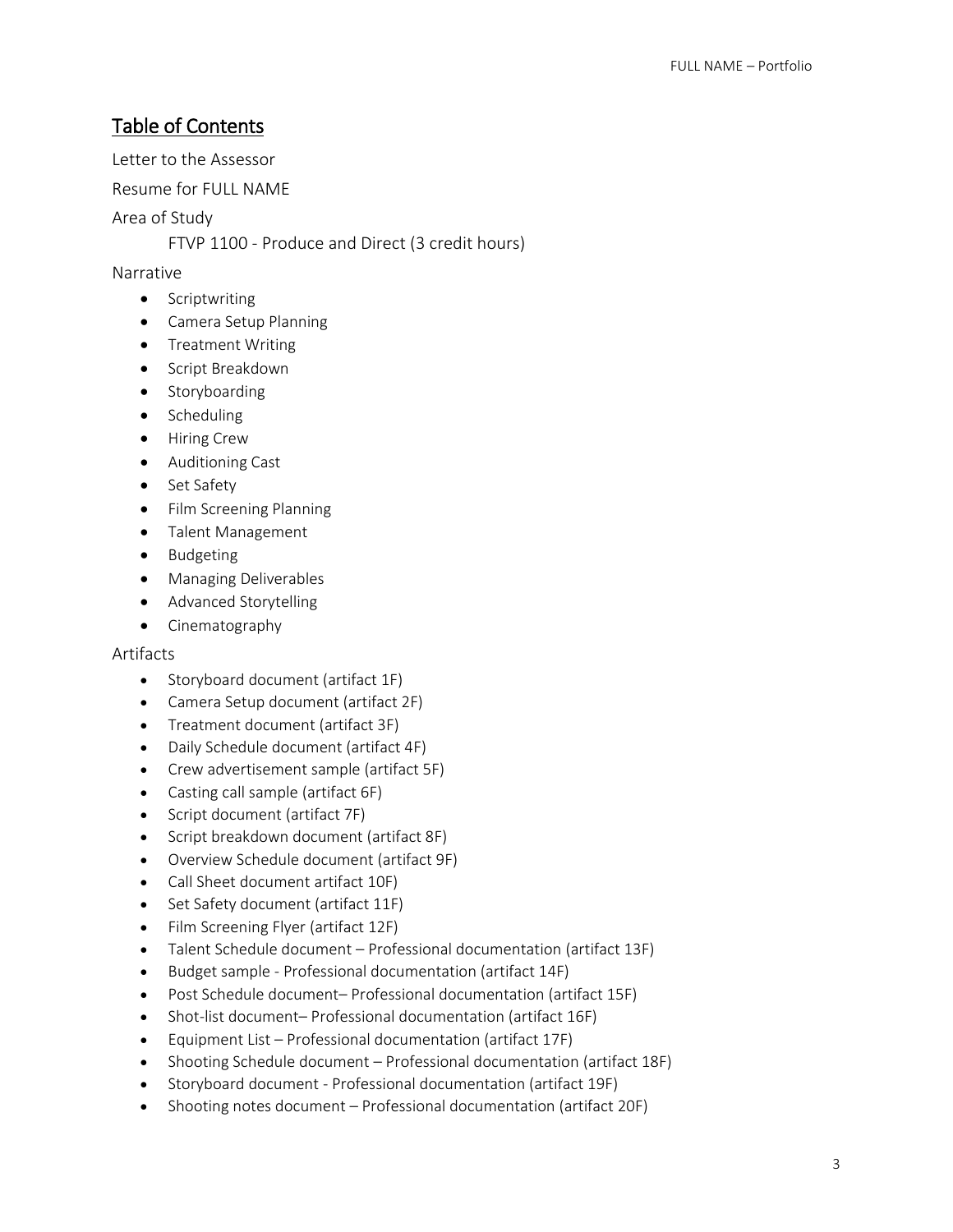## Table of Contents

Letter to the Assessor

Resume for FULL NAME

Area of Study

FTVP 1100 - Produce and Direct (3 credit hours)

## Narrative

- **•** Scriptwriting
- Camera Setup Planning
- Treatment Writing
- **•** Script Breakdown
- Storyboarding
- Scheduling
- Hiring Crew
- Auditioning Cast
- Set Safety
- Film Screening Planning
- Talent Management
- Budgeting
- Managing Deliverables
- Advanced Storytelling
- Cinematography

#### **Artifacts**

- Storyboard document (artifact 1F)
- Camera Setup document (artifact 2F)
- Treatment document (artifact 3F)
- Daily Schedule document (artifact 4F)
- Crew advertisement sample (artifact 5F)
- Casting call sample (artifact 6F)
- Script document (artifact 7F)
- Script breakdown document (artifact 8F)
- Overview Schedule document (artifact 9F)
- Call Sheet document artifact 10F)
- Set Safety document (artifact 11F)
- Film Screening Flyer (artifact 12F)
- Talent Schedule document Professional documentation (artifact 13F)
- Budget sample Professional documentation (artifact 14F)
- Post Schedule document– Professional documentation (artifact 15F)
- Shot-list document– Professional documentation (artifact 16F)
- Equipment List Professional documentation (artifact 17F)
- Shooting Schedule document Professional documentation (artifact 18F)
- Storyboard document Professional documentation (artifact 19F)
- Shooting notes document Professional documentation (artifact 20F)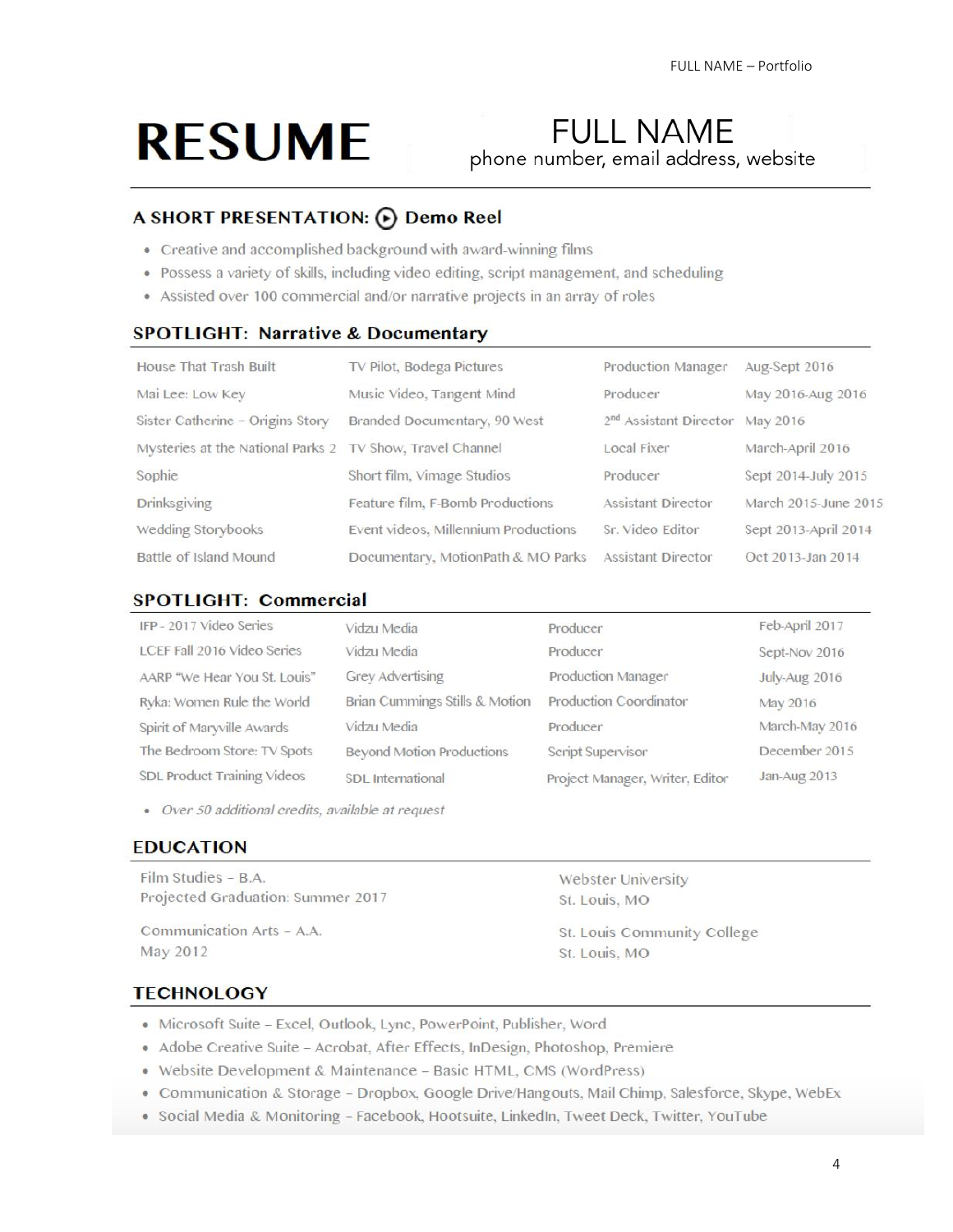# **RESUME**

# **FULL NAME** phone number, email address, website

## A SHORT PRESENTATION: (b) Demo Reel

- Creative and accomplished background with award-winning films
- Possess a variety of skills, including video editing, script management, and scheduling
- Assisted over 100 commercial and/or narrative projects in an array of roles

#### **SPOTLIGHT: Narrative & Documentary**

| House That Trash Built                                    | TV Pilot, Bodega Pictures            | Production Manager                          | Aug-Sept 2016        |
|-----------------------------------------------------------|--------------------------------------|---------------------------------------------|----------------------|
| Mai Lee: Low Key                                          | Music Video, Tangent Mind            | Producer                                    | May 2016-Aug 2016    |
| Sister Catherine - Origins Story                          | Branded Documentary, 90 West         | 2 <sup>nd</sup> Assistant Director May 2016 |                      |
| Mysteries at the National Parks 2 TV Show, Travel Channel |                                      | Local Fixer                                 | March-April 2016     |
| Sophie                                                    | Short film, Vimage Studios           | Producer                                    | Sept 2014-July 2015  |
| <b>Drinksgiving</b>                                       | Feature film, F-Bomb Productions     | Assistant Director                          | March 2015-June 2015 |
| Wedding Storybooks                                        | Event videos, Millennium Productions | Sr. Video Editor                            | Sept 2013-April 2014 |
| Battle of Island Mound                                    | Documentary, MotionPath & MO Parks   | Assistant Director                          | Oct 2013-Jan 2014    |

#### **SPOTLIGHT: Commercial**

| IFP - 2017 Video Series      | Vidzu Media                      | Producer                        | Feb-April 2017 |
|------------------------------|----------------------------------|---------------------------------|----------------|
| LCEF Fall 2016 Video Series  | Vidzu Media                      | Producer                        | Sept-Nov 2016  |
| AARP "We Hear You St. Louis" | Grey Advertising                 | Production Manager              | July-Aug 2016  |
| Ryka: Women Rule the World   | Brian Cummings Stills & Motion   | Production Coordinator          | May 2016       |
| Spirit of Maryville Awards   | Vidzu Media                      | Producer                        | March-May 2016 |
| The Bedroom Store: TV Spots  | <b>Beyond Motion Productions</b> | Script Supervisor               | December 2015  |
| SDL Product Training Videos  | SDL International                | Project Manager, Writer, Editor | Jan-Aug 2013   |

• Over 50 additional credits, available at request

### **EDUCATION**

Film Studies - B.A. Projected Graduation: Summer 2017

Communication Arts - A.A. May 2012

Webster University St. Louis, MO

St. Louis Community College St. Louis, MO

#### **TECHNOLOGY**

- · Microsoft Suite Excel, Outlook, Lync, PowerPoint, Publisher, Word
- · Adobe Creative Suite Acrobat, After Effects, InDesign, Photoshop, Premiere
- · Website Development & Maintenance Basic HTML, CMS (WordPress)
- Communication & Storage Dropbox, Google Drive/Hangouts, Mail Chimp, Salesforce, Skype, WebEx
- · Social Media & Monitoring Facebook, Hootsuite, LinkedIn, Tweet Deck, Twitter, YouTube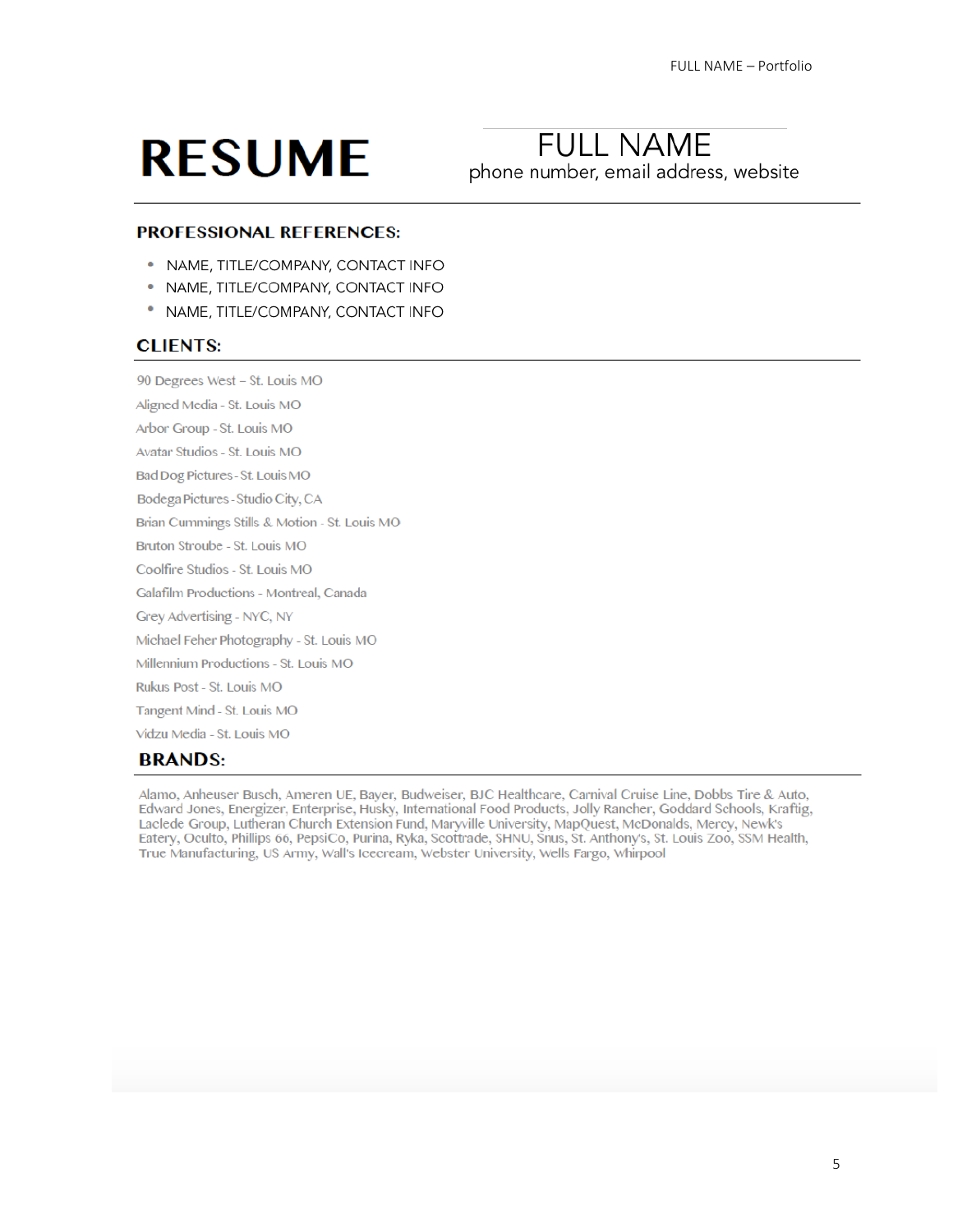# **RESUME**

# **FULL NAME** phone number, email address, website

#### **PROFESSIONAL REFERENCES:**

- NAME, TITLE/COMPANY, CONTACT INFO
- NAME, TITLE/COMPANY, CONTACT INFO
- NAME, TITLE/COMPANY, CONTACT INFO

#### **CLIENTS:**

90 Degrees West - St. Louis MO

Aligned Media - St. Louis MO Arbor Group - St. Louis MO Avatar Studios - St. Louis MO

Bad Dog Pictures - St. Louis MO

Bodega Pictures - Studio City, CA

Brian Cummings Stills & Motion - St. Louis MO

Bruton Stroube - St. Louis MO

Coolfire Studios - St. Louis MO

Galafilm Productions - Montreal, Canada

Grey Advertising - NYC, NY

Michael Feher Photography - St. Louis MO

Millennium Productions - St. Louis MO

Rukus Post - St. Louis MO

Tangent Mind - St. Louis MO

Vidzu Media - St. Louis MO

#### **BRANDS:**

Alamo, Anheuser Busch, Ameren UE, Bayer, Budweiser, BJC Healthcare, Carnival Cruise Line, Dobbs Tire & Auto, Edward Jones, Energizer, Enterprise, Husky, International Food Products, Jolly Rancher, Goddard Schools, Kraftig, Laclede Group, Lutheran Church Extension Fund, Maryville University, MapQuest, McDonalds, Mercy, Newk's Eatery, Oculto, Phillips 66, PepsiCo, Purina, Ryka, Scottrade, SHNU, Šnus, St. Anthony's, St. Louis Zoo, SSM Health, True Manufacturing, US Army, Wall's Icecream, Webster University, Wells Fargo, Whirpool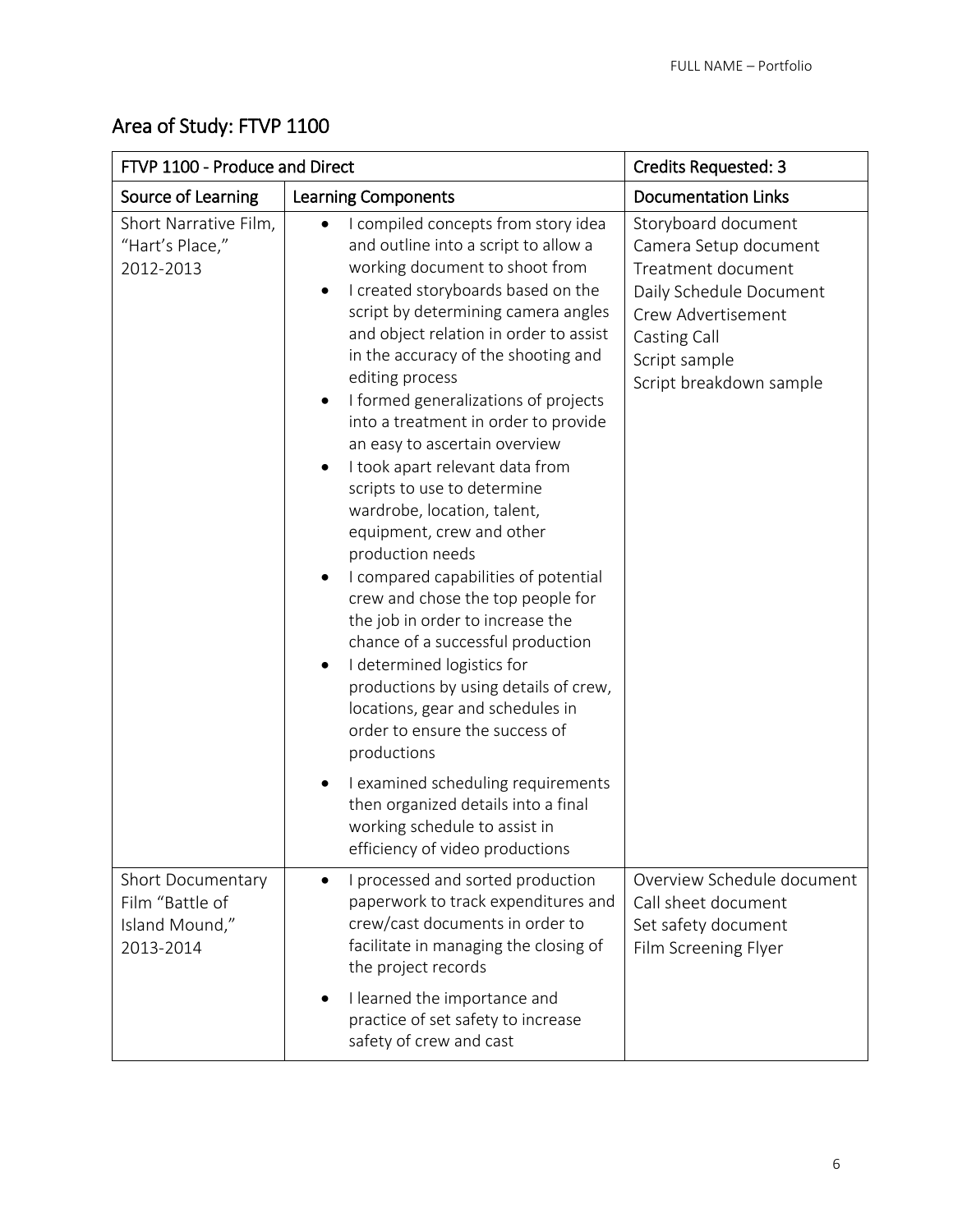# Area of Study: FTVP 1100

| FTVP 1100 - Produce and Direct                                      |                                                                                                                                                                                                                                                                                                                                                                                                                                                                                                                                                                                                                                                                                                                                                                                                                                                                                                                                                                                                                                                                             | <b>Credits Requested: 3</b>                                                                                                                                                     |
|---------------------------------------------------------------------|-----------------------------------------------------------------------------------------------------------------------------------------------------------------------------------------------------------------------------------------------------------------------------------------------------------------------------------------------------------------------------------------------------------------------------------------------------------------------------------------------------------------------------------------------------------------------------------------------------------------------------------------------------------------------------------------------------------------------------------------------------------------------------------------------------------------------------------------------------------------------------------------------------------------------------------------------------------------------------------------------------------------------------------------------------------------------------|---------------------------------------------------------------------------------------------------------------------------------------------------------------------------------|
| Source of Learning                                                  | <b>Learning Components</b>                                                                                                                                                                                                                                                                                                                                                                                                                                                                                                                                                                                                                                                                                                                                                                                                                                                                                                                                                                                                                                                  | <b>Documentation Links</b>                                                                                                                                                      |
| Short Narrative Film,<br>"Hart's Place,"<br>2012-2013               | I compiled concepts from story idea<br>and outline into a script to allow a<br>working document to shoot from<br>I created storyboards based on the<br>script by determining camera angles<br>and object relation in order to assist<br>in the accuracy of the shooting and<br>editing process<br>I formed generalizations of projects<br>$\bullet$<br>into a treatment in order to provide<br>an easy to ascertain overview<br>I took apart relevant data from<br>$\bullet$<br>scripts to use to determine<br>wardrobe, location, talent,<br>equipment, crew and other<br>production needs<br>I compared capabilities of potential<br>crew and chose the top people for<br>the job in order to increase the<br>chance of a successful production<br>I determined logistics for<br>productions by using details of crew,<br>locations, gear and schedules in<br>order to ensure the success of<br>productions<br>I examined scheduling requirements<br>$\bullet$<br>then organized details into a final<br>working schedule to assist in<br>efficiency of video productions | Storyboard document<br>Camera Setup document<br>Treatment document<br>Daily Schedule Document<br>Crew Advertisement<br>Casting Call<br>Script sample<br>Script breakdown sample |
| Short Documentary<br>Film "Battle of<br>Island Mound,"<br>2013-2014 | I processed and sorted production<br>paperwork to track expenditures and<br>crew/cast documents in order to<br>facilitate in managing the closing of<br>the project records<br>I learned the importance and<br>practice of set safety to increase<br>safety of crew and cast                                                                                                                                                                                                                                                                                                                                                                                                                                                                                                                                                                                                                                                                                                                                                                                                | Overview Schedule document<br>Call sheet document<br>Set safety document<br>Film Screening Flyer                                                                                |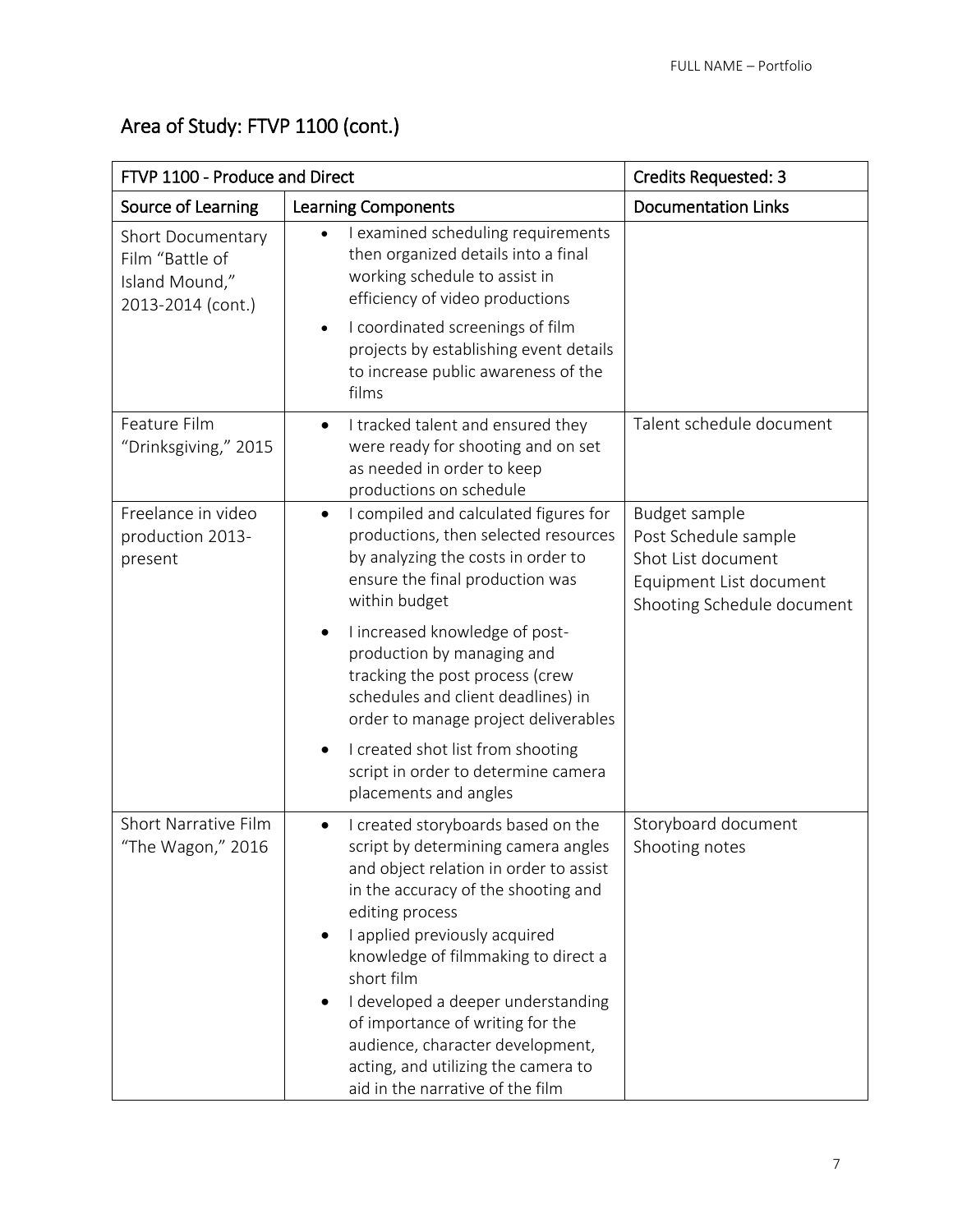| Area of Study: FTVP 1100 (cont.) |  |  |
|----------------------------------|--|--|
|----------------------------------|--|--|

| FTVP 1100 - Produce and Direct                                              |                                                                                                                                                                                                                                                                                                                                                                                                                                                                           | <b>Credits Requested: 3</b>                                                                                          |
|-----------------------------------------------------------------------------|---------------------------------------------------------------------------------------------------------------------------------------------------------------------------------------------------------------------------------------------------------------------------------------------------------------------------------------------------------------------------------------------------------------------------------------------------------------------------|----------------------------------------------------------------------------------------------------------------------|
| Source of Learning                                                          | <b>Learning Components</b>                                                                                                                                                                                                                                                                                                                                                                                                                                                | <b>Documentation Links</b>                                                                                           |
| Short Documentary<br>Film "Battle of<br>Island Mound,"<br>2013-2014 (cont.) | I examined scheduling requirements<br>then organized details into a final<br>working schedule to assist in<br>efficiency of video productions<br>I coordinated screenings of film<br>$\bullet$<br>projects by establishing event details<br>to increase public awareness of the<br>films                                                                                                                                                                                  |                                                                                                                      |
| Feature Film<br>"Drinksgiving," 2015                                        | I tracked talent and ensured they<br>$\bullet$<br>were ready for shooting and on set<br>as needed in order to keep<br>productions on schedule                                                                                                                                                                                                                                                                                                                             | Talent schedule document                                                                                             |
| Freelance in video<br>production 2013-<br>present                           | I compiled and calculated figures for<br>$\bullet$<br>productions, then selected resources<br>by analyzing the costs in order to<br>ensure the final production was<br>within budget                                                                                                                                                                                                                                                                                      | Budget sample<br>Post Schedule sample<br>Shot List document<br>Equipment List document<br>Shooting Schedule document |
|                                                                             | I increased knowledge of post-<br>$\bullet$<br>production by managing and<br>tracking the post process (crew<br>schedules and client deadlines) in<br>order to manage project deliverables                                                                                                                                                                                                                                                                                |                                                                                                                      |
|                                                                             | I created shot list from shooting<br>script in order to determine camera<br>placements and angles                                                                                                                                                                                                                                                                                                                                                                         |                                                                                                                      |
| Short Narrative Film<br>"The Wagon," 2016                                   | I created storyboards based on the<br>$\bullet$<br>script by determining camera angles<br>and object relation in order to assist<br>in the accuracy of the shooting and<br>editing process<br>I applied previously acquired<br>knowledge of filmmaking to direct a<br>short film<br>I developed a deeper understanding<br>of importance of writing for the<br>audience, character development,<br>acting, and utilizing the camera to<br>aid in the narrative of the film | Storyboard document<br>Shooting notes                                                                                |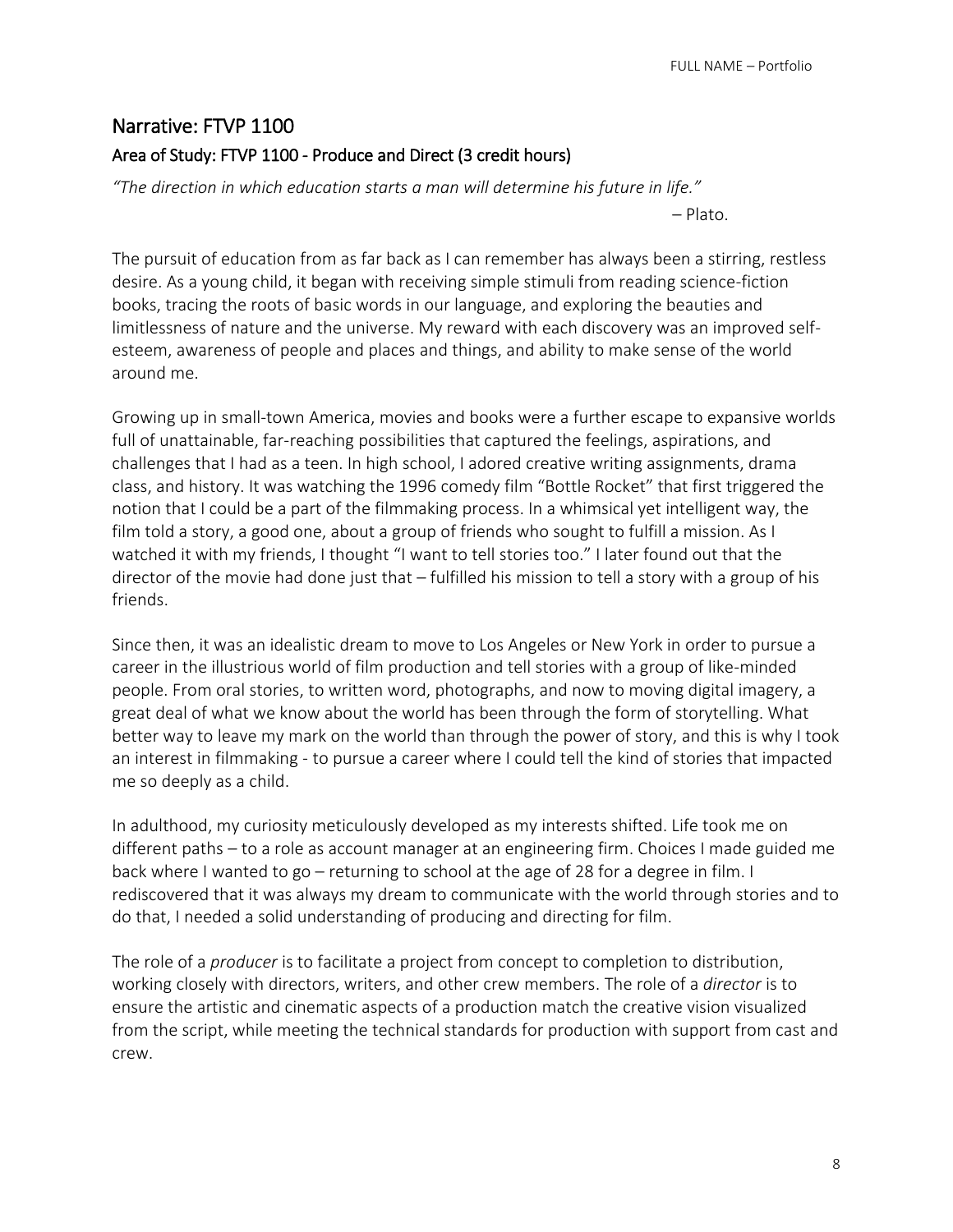# Narrative: FTVP 1100 Area of Study: FTVP 1100 - Produce and Direct (3 credit hours)

*"The direction in which education starts a man will determine his future in life."* 

– Plato.

The pursuit of education from as far back as I can remember has always been a stirring, restless desire. As a young child, it began with receiving simple stimuli from reading science-fiction books, tracing the roots of basic words in our language, and exploring the beauties and limitlessness of nature and the universe. My reward with each discovery was an improved selfesteem, awareness of people and places and things, and ability to make sense of the world around me.

Growing up in small-town America, movies and books were a further escape to expansive worlds full of unattainable, far-reaching possibilities that captured the feelings, aspirations, and challenges that I had as a teen. In high school, I adored creative writing assignments, drama class, and history. It was watching the 1996 comedy film "Bottle Rocket" that first triggered the notion that I could be a part of the filmmaking process. In a whimsical yet intelligent way, the film told a story, a good one, about a group of friends who sought to fulfill a mission. As I watched it with my friends, I thought "I want to tell stories too." I later found out that the director of the movie had done just that – fulfilled his mission to tell a story with a group of his friends.

Since then, it was an idealistic dream to move to Los Angeles or New York in order to pursue a career in the illustrious world of film production and tell stories with a group of like-minded people. From oral stories, to written word, photographs, and now to moving digital imagery, a great deal of what we know about the world has been through the form of storytelling. What better way to leave my mark on the world than through the power of story, and this is why I took an interest in filmmaking - to pursue a career where I could tell the kind of stories that impacted me so deeply as a child.

In adulthood, my curiosity meticulously developed as my interests shifted. Life took me on different paths – to a role as account manager at an engineering firm. Choices I made guided me back where I wanted to go – returning to school at the age of 28 for a degree in film. I rediscovered that it was always my dream to communicate with the world through stories and to do that, I needed a solid understanding of producing and directing for film.

The role of a *producer* is to facilitate a project from concept to completion to distribution, working closely with directors, writers, and other crew members. The role of a *director* is to ensure the artistic and cinematic aspects of a production match the creative vision visualized from the script, while meeting the technical standards for production with support from cast and crew.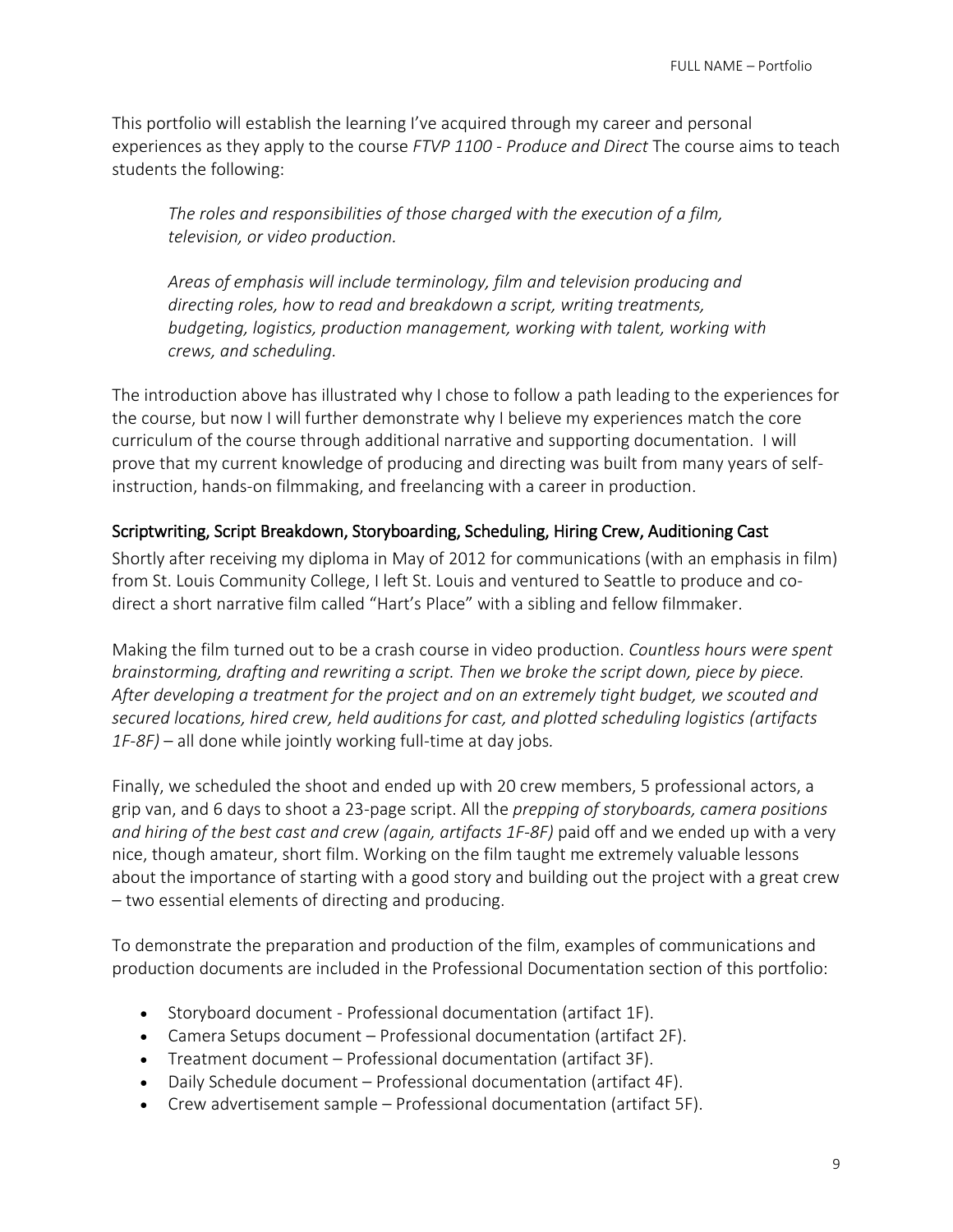This portfolio will establish the learning I've acquired through my career and personal experiences as they apply to the course *FTVP 1100 - Produce and Direct* The course aims to teach students the following:

*The roles and responsibilities of those charged with the execution of a film, television, or video production.* 

*Areas of emphasis will include terminology, film and television producing and directing roles, how to read and breakdown a script, writing treatments, budgeting, logistics, production management, working with talent, working with crews, and scheduling.*

The introduction above has illustrated why I chose to follow a path leading to the experiences for the course, but now I will further demonstrate why I believe my experiences match the core curriculum of the course through additional narrative and supporting documentation. I will prove that my current knowledge of producing and directing was built from many years of selfinstruction, hands-on filmmaking, and freelancing with a career in production.

## Scriptwriting, Script Breakdown, Storyboarding, Scheduling, Hiring Crew, Auditioning Cast

Shortly after receiving my diploma in May of 2012 for communications (with an emphasis in film) from St. Louis Community College, I left St. Louis and ventured to Seattle to produce and codirect a short narrative film called "Hart's Place" with a sibling and fellow filmmaker.

Making the film turned out to be a crash course in video production. *Countless hours were spent brainstorming, drafting and rewriting a script. Then we broke the script down, piece by piece. After developing a treatment for the project and on an extremely tight budget, we scouted and secured locations, hired crew, held auditions for cast, and plotted scheduling logistics (artifacts 1F-8F)* – all done while jointly working full-time at day jobs*.*

Finally, we scheduled the shoot and ended up with 20 crew members, 5 professional actors, a grip van, and 6 days to shoot a 23-page script. All the *prepping of storyboards, camera positions and hiring of the best cast and crew (again, artifacts 1F-8F)* paid off and we ended up with a very nice, though amateur, short film. Working on the film taught me extremely valuable lessons about the importance of starting with a good story and building out the project with a great crew – two essential elements of directing and producing.

To demonstrate the preparation and production of the film, examples of communications and production documents are included in the Professional Documentation section of this portfolio:

- Storyboard document Professional documentation (artifact 1F).
- Camera Setups document Professional documentation (artifact 2F).
- Treatment document Professional documentation (artifact 3F).
- Daily Schedule document Professional documentation (artifact 4F).
- Crew advertisement sample Professional documentation (artifact 5F).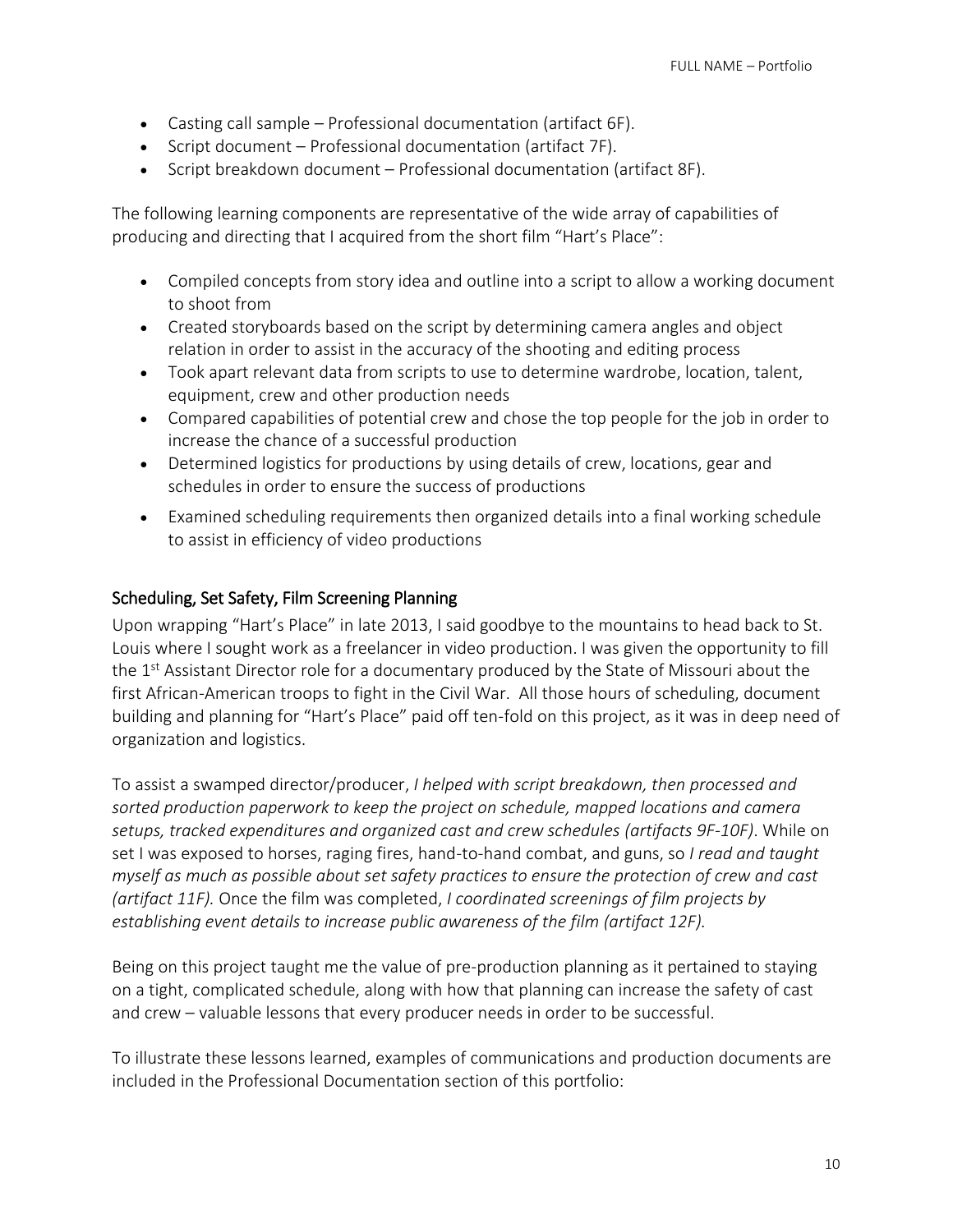- Casting call sample Professional documentation (artifact 6F).
- Script document Professional documentation (artifact 7F).
- Script breakdown document Professional documentation (artifact 8F).

The following learning components are representative of the wide array of capabilities of producing and directing that I acquired from the short film "Hart's Place":

- Compiled concepts from story idea and outline into a script to allow a working document to shoot from
- Created storyboards based on the script by determining camera angles and object relation in order to assist in the accuracy of the shooting and editing process
- Took apart relevant data from scripts to use to determine wardrobe, location, talent, equipment, crew and other production needs
- Compared capabilities of potential crew and chose the top people for the job in order to increase the chance of a successful production
- Determined logistics for productions by using details of crew, locations, gear and schedules in order to ensure the success of productions
- Examined scheduling requirements then organized details into a final working schedule to assist in efficiency of video productions

## Scheduling, Set Safety, Film Screening Planning

Upon wrapping "Hart's Place" in late 2013, I said goodbye to the mountains to head back to St. Louis where I sought work as a freelancer in video production. I was given the opportunity to fill the 1<sup>st</sup> Assistant Director role for a documentary produced by the State of Missouri about the first African-American troops to fight in the Civil War. All those hours of scheduling, document building and planning for "Hart's Place" paid off ten-fold on this project, as it was in deep need of organization and logistics.

To assist a swamped director/producer, *I helped with script breakdown, then processed and sorted production paperwork to keep the project on schedule, mapped locations and camera setups, tracked expenditures and organized cast and crew schedules (artifacts 9F-10F)*. While on set I was exposed to horses, raging fires, hand-to-hand combat, and guns, so *I read and taught myself as much as possible about set safety practices to ensure the protection of crew and cast (artifact 11F).* Once the film was completed, *I coordinated screenings of film projects by establishing event details to increase public awareness of the film (artifact 12F).*

Being on this project taught me the value of pre-production planning as it pertained to staying on a tight, complicated schedule, along with how that planning can increase the safety of cast and crew – valuable lessons that every producer needs in order to be successful.

To illustrate these lessons learned, examples of communications and production documents are included in the Professional Documentation section of this portfolio: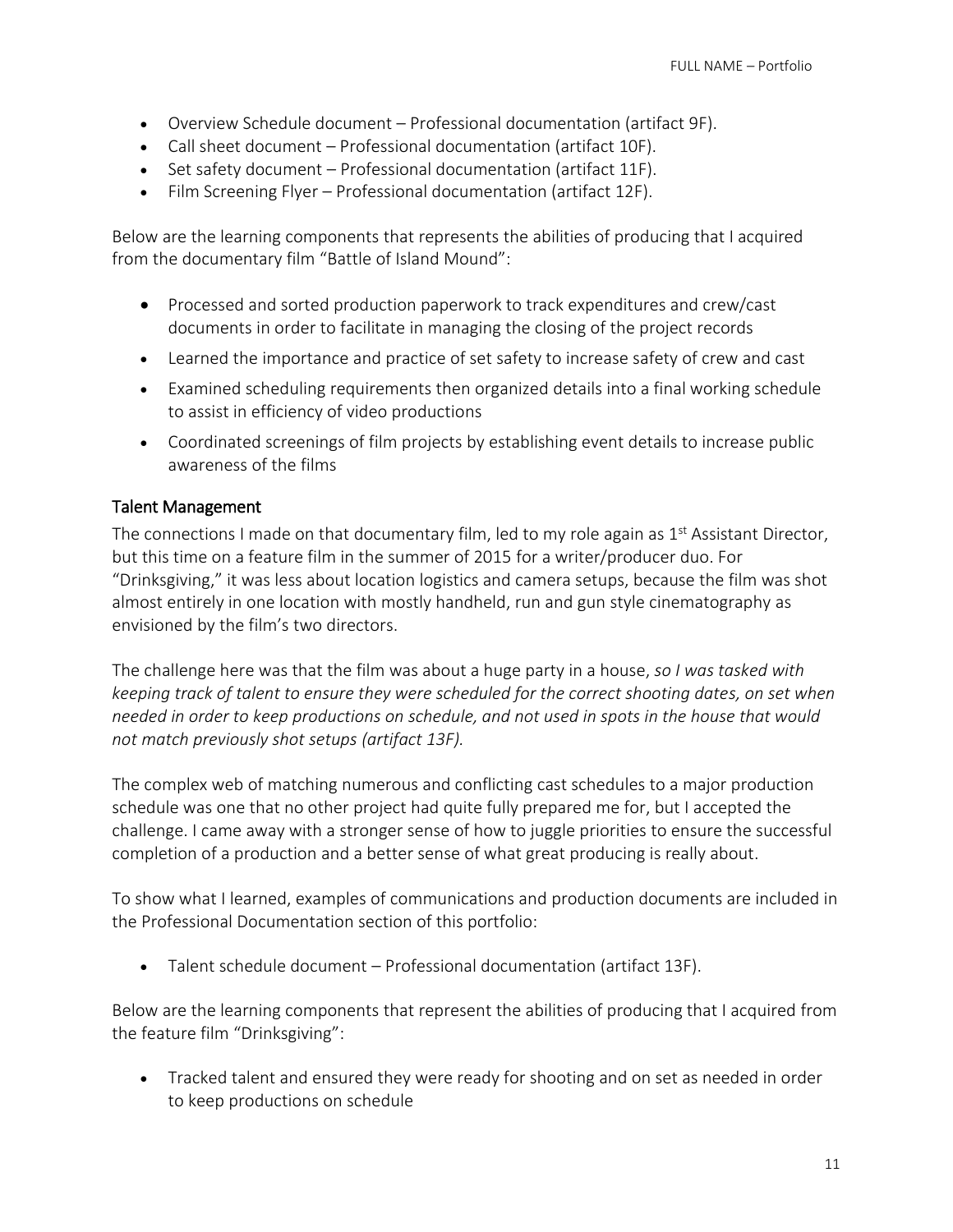- Overview Schedule document Professional documentation (artifact 9F).
- Call sheet document Professional documentation (artifact 10F).
- Set safety document Professional documentation (artifact 11F).
- Film Screening Flyer Professional documentation (artifact 12F).

Below are the learning components that represents the abilities of producing that I acquired from the documentary film "Battle of Island Mound":

- Processed and sorted production paperwork to track expenditures and crew/cast documents in order to facilitate in managing the closing of the project records
- Learned the importance and practice of set safety to increase safety of crew and cast
- Examined scheduling requirements then organized details into a final working schedule to assist in efficiency of video productions
- Coordinated screenings of film projects by establishing event details to increase public awareness of the films

## Talent Management

The connections I made on that documentary film, led to my role again as  $1<sup>st</sup>$  Assistant Director, but this time on a feature film in the summer of 2015 for a writer/producer duo. For "Drinksgiving," it was less about location logistics and camera setups, because the film was shot almost entirely in one location with mostly handheld, run and gun style cinematography as envisioned by the film's two directors.

The challenge here was that the film was about a huge party in a house, *so I was tasked with keeping track of talent to ensure they were scheduled for the correct shooting dates, on set when needed in order to keep productions on schedule, and not used in spots in the house that would not match previously shot setups (artifact 13F).*

The complex web of matching numerous and conflicting cast schedules to a major production schedule was one that no other project had quite fully prepared me for, but I accepted the challenge. I came away with a stronger sense of how to juggle priorities to ensure the successful completion of a production and a better sense of what great producing is really about.

To show what I learned, examples of communications and production documents are included in the Professional Documentation section of this portfolio:

Talent schedule document – Professional documentation (artifact 13F).

Below are the learning components that represent the abilities of producing that I acquired from the feature film "Drinksgiving":

 Tracked talent and ensured they were ready for shooting and on set as needed in order to keep productions on schedule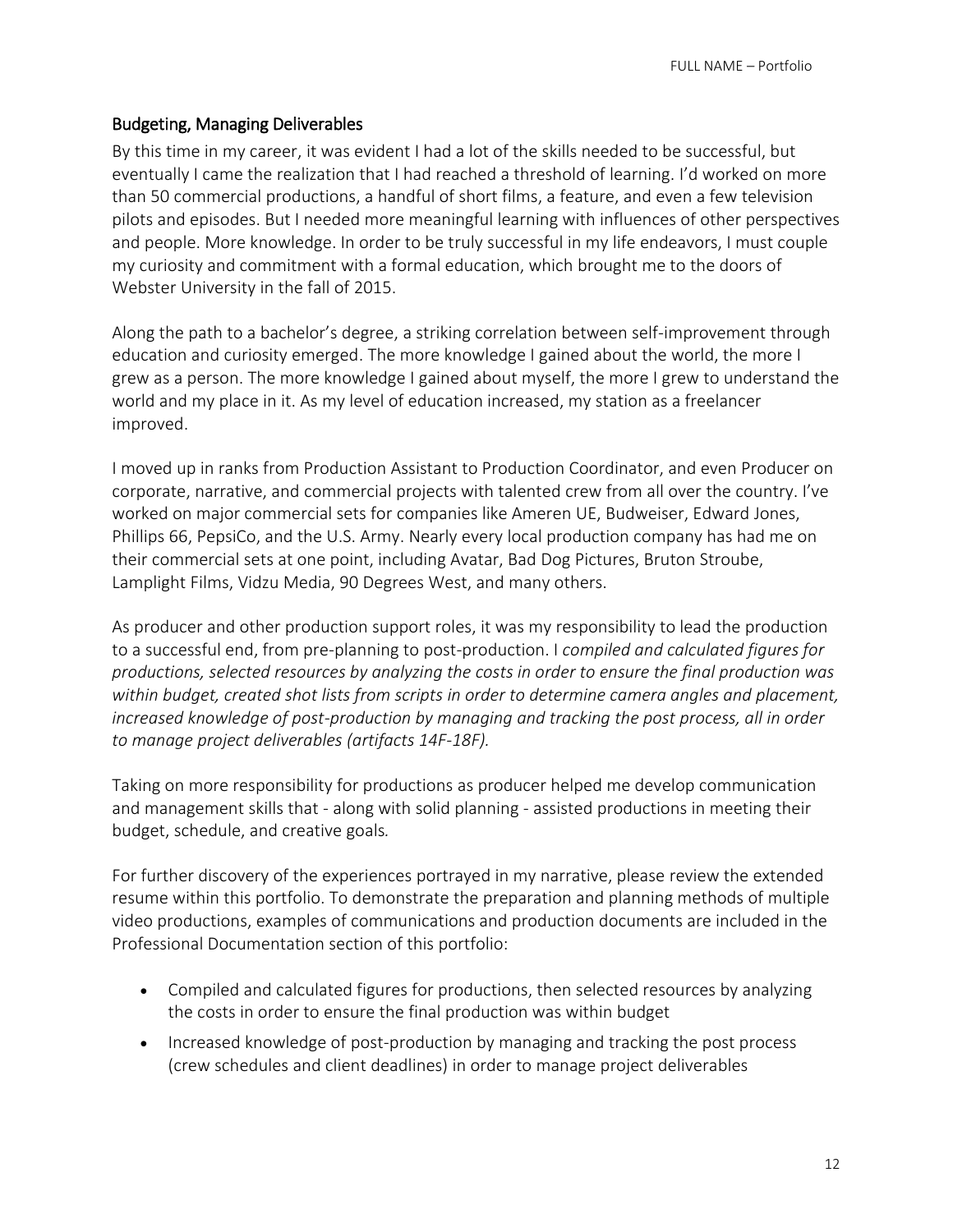## Budgeting, Managing Deliverables

By this time in my career, it was evident I had a lot of the skills needed to be successful, but eventually I came the realization that I had reached a threshold of learning. I'd worked on more than 50 commercial productions, a handful of short films, a feature, and even a few television pilots and episodes. But I needed more meaningful learning with influences of other perspectives and people. More knowledge. In order to be truly successful in my life endeavors, I must couple my curiosity and commitment with a formal education, which brought me to the doors of Webster University in the fall of 2015.

Along the path to a bachelor's degree, a striking correlation between self-improvement through education and curiosity emerged. The more knowledge I gained about the world, the more I grew as a person. The more knowledge I gained about myself, the more I grew to understand the world and my place in it. As my level of education increased, my station as a freelancer improved.

I moved up in ranks from Production Assistant to Production Coordinator, and even Producer on corporate, narrative, and commercial projects with talented crew from all over the country. I've worked on major commercial sets for companies like Ameren UE, Budweiser, Edward Jones, Phillips 66, PepsiCo, and the U.S. Army. Nearly every local production company has had me on their commercial sets at one point, including Avatar, Bad Dog Pictures, Bruton Stroube, Lamplight Films, Vidzu Media, 90 Degrees West, and many others.

As producer and other production support roles, it was my responsibility to lead the production to a successful end, from pre-planning to post-production. I *compiled and calculated figures for productions, selected resources by analyzing the costs in order to ensure the final production was within budget, created shot lists from scripts in order to determine camera angles and placement, increased knowledge of post-production by managing and tracking the post process, all in order to manage project deliverables (artifacts 14F-18F).*

Taking on more responsibility for productions as producer helped me develop communication and management skills that - along with solid planning - assisted productions in meeting their budget, schedule, and creative goals*.*

For further discovery of the experiences portrayed in my narrative, please review the extended resume within this portfolio. To demonstrate the preparation and planning methods of multiple video productions, examples of communications and production documents are included in the Professional Documentation section of this portfolio:

- Compiled and calculated figures for productions, then selected resources by analyzing the costs in order to ensure the final production was within budget
- Increased knowledge of post-production by managing and tracking the post process (crew schedules and client deadlines) in order to manage project deliverables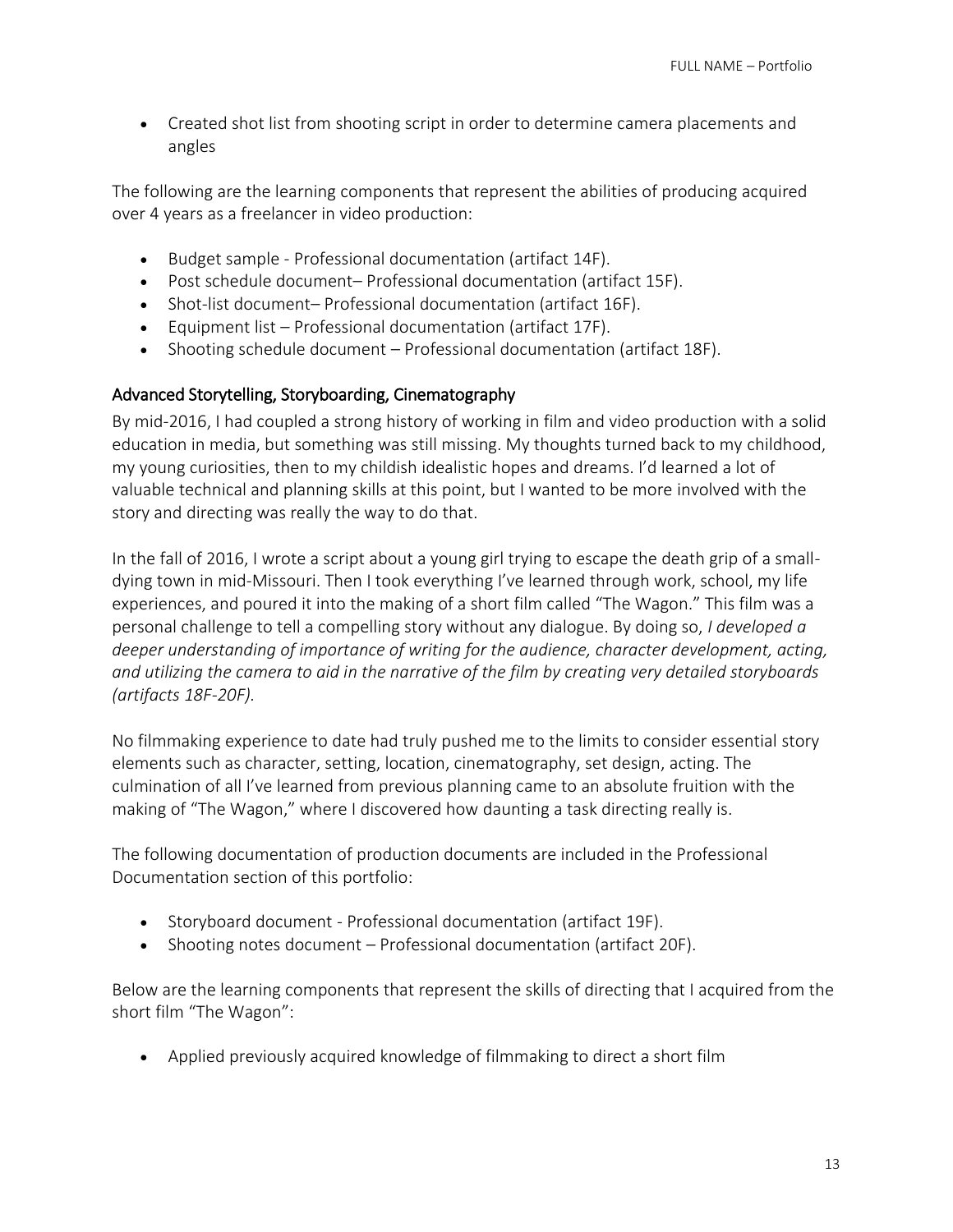Created shot list from shooting script in order to determine camera placements and angles

The following are the learning components that represent the abilities of producing acquired over 4 years as a freelancer in video production:

- Budget sample Professional documentation (artifact 14F).
- Post schedule document– Professional documentation (artifact 15F).
- Shot-list document– Professional documentation (artifact 16F).
- Equipment list Professional documentation (artifact 17F).
- Shooting schedule document Professional documentation (artifact 18F).

## Advanced Storytelling, Storyboarding, Cinematography

By mid-2016, I had coupled a strong history of working in film and video production with a solid education in media, but something was still missing. My thoughts turned back to my childhood, my young curiosities, then to my childish idealistic hopes and dreams. I'd learned a lot of valuable technical and planning skills at this point, but I wanted to be more involved with the story and directing was really the way to do that.

In the fall of 2016, I wrote a script about a young girl trying to escape the death grip of a smalldying town in mid-Missouri. Then I took everything I've learned through work, school, my life experiences, and poured it into the making of a short film called "The Wagon." This film was a personal challenge to tell a compelling story without any dialogue. By doing so, *I developed a deeper understanding of importance of writing for the audience, character development, acting, and utilizing the camera to aid in the narrative of the film by creating very detailed storyboards (artifacts 18F-20F).*

No filmmaking experience to date had truly pushed me to the limits to consider essential story elements such as character, setting, location, cinematography, set design, acting. The culmination of all I've learned from previous planning came to an absolute fruition with the making of "The Wagon," where I discovered how daunting a task directing really is.

The following documentation of production documents are included in the Professional Documentation section of this portfolio:

- Storyboard document Professional documentation (artifact 19F).
- Shooting notes document Professional documentation (artifact 20F).

Below are the learning components that represent the skills of directing that I acquired from the short film "The Wagon":

Applied previously acquired knowledge of filmmaking to direct a short film